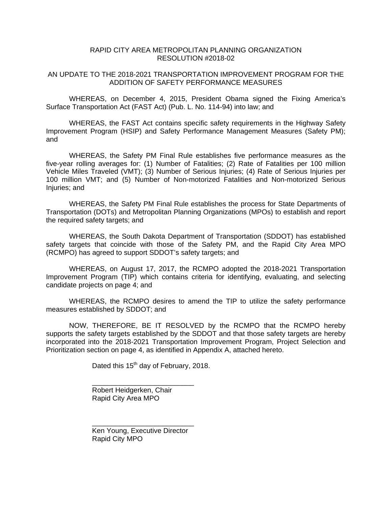## RAPID CITY AREA METROPOLITAN PLANNING ORGANIZATION RESOLUTION #2018-02

## AN UPDATE TO THE 2018-2021 TRANSPORTATION IMPROVEMENT PROGRAM FOR THE ADDITION OF SAFETY PERFORMANCE MEASURES

 WHEREAS, on December 4, 2015, President Obama signed the Fixing America's Surface Transportation Act (FAST Act) (Pub. L. No. 114-94) into law; and

 WHEREAS, the FAST Act contains specific safety requirements in the Highway Safety Improvement Program (HSIP) and Safety Performance Management Measures (Safety PM); and

WHEREAS, the Safety PM Final Rule establishes five performance measures as the five-year rolling averages for: (1) Number of Fatalities; (2) Rate of Fatalities per 100 million Vehicle Miles Traveled (VMT); (3) Number of Serious Injuries; (4) Rate of Serious Injuries per 100 million VMT; and (5) Number of Non-motorized Fatalities and Non-motorized Serious Injuries; and

 WHEREAS, the Safety PM Final Rule establishes the process for State Departments of Transportation (DOTs) and Metropolitan Planning Organizations (MPOs) to establish and report the required safety targets; and

 WHEREAS, the South Dakota Department of Transportation (SDDOT) has established safety targets that coincide with those of the Safety PM, and the Rapid City Area MPO (RCMPO) has agreed to support SDDOT's safety targets; and

 WHEREAS, on August 17, 2017, the RCMPO adopted the 2018-2021 Transportation Improvement Program (TIP) which contains criteria for identifying, evaluating, and selecting candidate projects on page 4; and

 WHEREAS, the RCMPO desires to amend the TIP to utilize the safety performance measures established by SDDOT; and

NOW, THEREFORE, BE IT RESOLVED by the RCMPO that the RCMPO hereby supports the safety targets established by the SDDOT and that those safety targets are hereby incorporated into the 2018-2021 Transportation Improvement Program, Project Selection and Prioritization section on page 4, as identified in Appendix A, attached hereto.

Dated this 15<sup>th</sup> day of February, 2018.

\_\_\_\_\_\_\_\_\_\_\_\_\_\_\_\_\_\_\_\_\_\_\_\_\_\_

Robert Heidgerken, Chair Rapid City Area MPO

\_\_\_\_\_\_\_\_\_\_\_\_\_\_\_\_\_\_\_\_\_\_\_\_\_\_ Ken Young, Executive Director Rapid City MPO